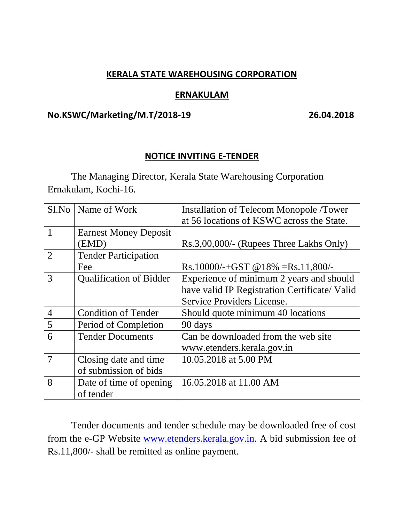### **KERALA STATE WAREHOUSING CORPORATION**

#### **ERNAKULAM**

#### **No.KSWC/Marketing/M.T/2018-19 26.04.2018**

### **NOTICE INVITING E-TENDER**

The Managing Director, Kerala State Warehousing Corporation Ernakulam, Kochi-16.

| Sl.No          | Name of Work                   | <b>Installation of Telecom Monopole /Tower</b> |
|----------------|--------------------------------|------------------------------------------------|
|                |                                | at 56 locations of KSWC across the State.      |
|                | <b>Earnest Money Deposit</b>   |                                                |
|                | (EMD)                          | Rs.3,00,000/- (Rupees Three Lakhs Only)        |
| $\overline{2}$ | <b>Tender Participation</b>    |                                                |
|                | Fee                            | Rs.10000/-+GST @18% =Rs.11,800/-               |
| 3              | <b>Qualification of Bidder</b> | Experience of minimum 2 years and should       |
|                |                                | have valid IP Registration Certificate/Valid   |
|                |                                | Service Providers License.                     |
| $\overline{4}$ | <b>Condition of Tender</b>     | Should quote minimum 40 locations              |
| 5              | Period of Completion           | 90 days                                        |
| 6              | <b>Tender Documents</b>        | Can be downloaded from the web site            |
|                |                                | www.etenders.kerala.gov.in                     |
| 7              | Closing date and time          | 10.05.2018 at 5.00 PM                          |
|                | of submission of bids          |                                                |
| 8              | Date of time of opening        | 16.05.2018 at 11.00 AM                         |
|                | of tender                      |                                                |

Tender documents and tender schedule may be downloaded free of cost from the e-GP Website [www.etenders.kerala.gov.in.](http://www.etenders.kerala.gov.in/) A bid submission fee of Rs.11,800/- shall be remitted as online payment.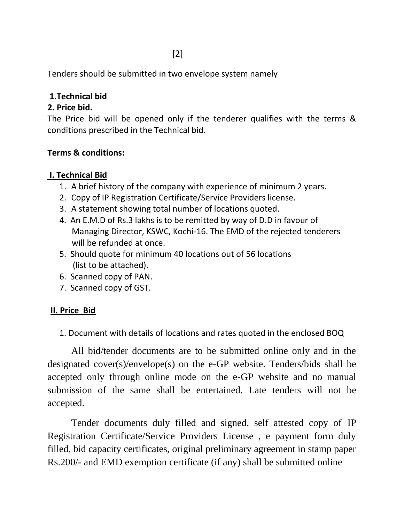[2]

Tenders should be submitted in two envelope system namely

# **1.Technical bid**

# **2. Price bid.**

The Price bid will be opened only if the tenderer qualifies with the terms & conditions prescribed in the Technical bid.

## **Terms & conditions:**

## **I. Technical Bid**

- 1. A brief history of the company with experience of minimum 2 years.
- 2. Copy of IP Registration Certificate/Service Providers license.
- 3. A statement showing total number of locations quoted.
- 4. An E.M.D of Rs.3 lakhs is to be remitted by way of D.D in favour of Managing Director, KSWC, Kochi-16. The EMD of the rejected tenderers will be refunded at once.
- 5. Should quote for minimum 40 locations out of 56 locations (list to be attached).
- 6. Scanned copy of PAN.
- 7. Scanned copy of GST.

## **II. Price Bid**

1. Document with details of locations and rates quoted in the enclosed BOQ

All bid/tender documents are to be submitted online only and in the designated cover(s)/envelope(s) on the e-GP website. Tenders/bids shall be accepted only through online mode on the e-GP website and no manual submission of the same shall be entertained. Late tenders will not be accepted.

Tender documents duly filled and signed, self attested copy of IP Registration Certificate/Service Providers License , e payment form duly filled, bid capacity certificates, original preliminary agreement in stamp paper Rs.200/- and EMD exemption certificate (if any) shall be submitted online